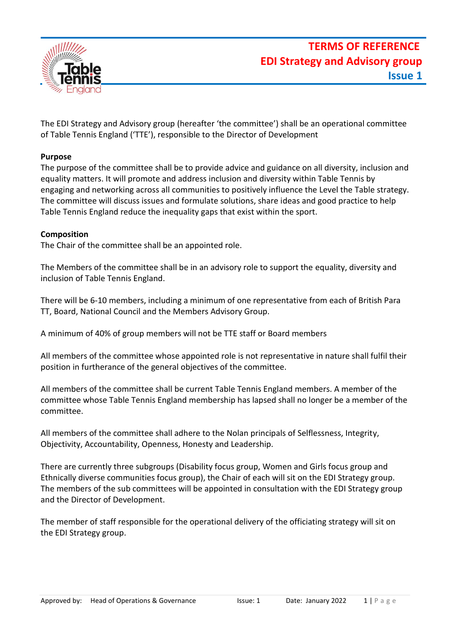

The EDI Strategy and Advisory group (hereafter 'the committee') shall be an operational committee of Table Tennis England ('TTE'), responsible to the Director of Development

## **Purpose**

The purpose of the committee shall be to provide advice and guidance on all diversity, inclusion and equality matters. It will promote and address inclusion and diversity within Table Tennis by engaging and networking across all communities to positively influence the Level the Table strategy. The committee will discuss issues and formulate solutions, share ideas and good practice to help Table Tennis England reduce the inequality gaps that exist within the sport.

### **Composition**

The Chair of the committee shall be an appointed role.

The Members of the committee shall be in an advisory role to support the equality, diversity and inclusion of Table Tennis England.

There will be 6-10 members, including a minimum of one representative from each of British Para TT, Board, National Council and the Members Advisory Group.

A minimum of 40% of group members will not be TTE staff or Board members

All members of the committee whose appointed role is not representative in nature shall fulfil their position in furtherance of the general objectives of the committee.

All members of the committee shall be current Table Tennis England members. A member of the committee whose Table Tennis England membership has lapsed shall no longer be a member of the committee.

All members of the committee shall adhere to the Nolan principals of Selflessness, Integrity, Objectivity, Accountability, Openness, Honesty and Leadership.

There are currently three subgroups (Disability focus group, Women and Girls focus group and Ethnically diverse communities focus group), the Chair of each will sit on the EDI Strategy group. The members of the sub committees will be appointed in consultation with the EDI Strategy group and the Director of Development.

The member of staff responsible for the operational delivery of the officiating strategy will sit on the EDI Strategy group.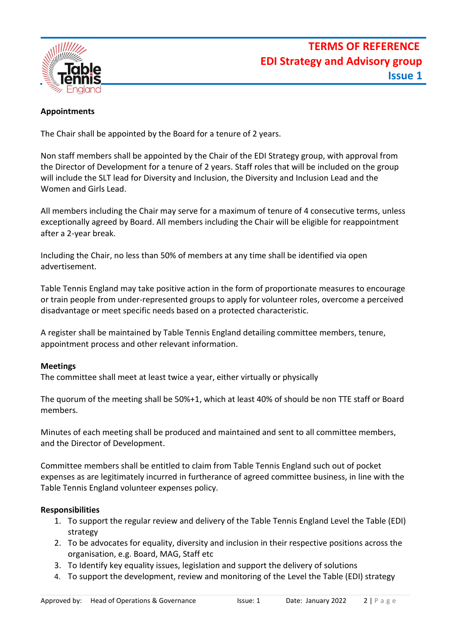

## **Appointments**

The Chair shall be appointed by the Board for a tenure of 2 years.

Non staff members shall be appointed by the Chair of the EDI Strategy group, with approval from the Director of Development for a tenure of 2 years. Staff roles that will be included on the group will include the SLT lead for Diversity and Inclusion, the Diversity and Inclusion Lead and the Women and Girls Lead.

All members including the Chair may serve for a maximum of tenure of 4 consecutive terms, unless exceptionally agreed by Board. All members including the Chair will be eligible for reappointment after a 2-year break.

Including the Chair, no less than 50% of members at any time shall be identified via open advertisement.

Table Tennis England may take positive action in the form of proportionate measures to encourage or train people from under-represented groups to apply for volunteer roles, overcome a perceived disadvantage or meet specific needs based on a protected characteristic.

A register shall be maintained by Table Tennis England detailing committee members, tenure, appointment process and other relevant information.

### **Meetings**

The committee shall meet at least twice a year, either virtually or physically

The quorum of the meeting shall be 50%+1, which at least 40% of should be non TTE staff or Board members.

Minutes of each meeting shall be produced and maintained and sent to all committee members, and the Director of Development.

Committee members shall be entitled to claim from Table Tennis England such out of pocket expenses as are legitimately incurred in furtherance of agreed committee business, in line with the Table Tennis England volunteer expenses policy.

### **Responsibilities**

- 1. To support the regular review and delivery of the Table Tennis England Level the Table (EDI) strategy
- 2. To be advocates for equality, diversity and inclusion in their respective positions across the organisation, e.g. Board, MAG, Staff etc
- 3. To Identify key equality issues, legislation and support the delivery of solutions
- 4. To support the development, review and monitoring of the Level the Table (EDI) strategy